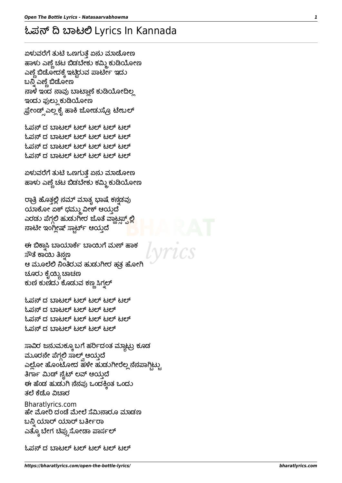ಓಪನ್ ದ ಬಾಟಲ್ ಟಲ್ ಟಲ್ ಟಲ್ ಟಲ್

ಮೂರನೇ ಪೆಗ್ಗಲಿ ಸಾಲ್ಕ್ ಆಯ್ತದೆ ಎಲ್ಲೋ ಹೊಂಟೋದ ಹಳೇ ಹುಡುಗೀರೆಲ್ಲ ನೆನಪಾಗ್ಗಿಟ್ಟು ತಿರ್ಗಾ ಮಿಡ್ ನೈಟ್ ಲವ್ ಆಯ್ತದೆ ಈ ಹೆಂಡ ಹುಡುಗಿ ನೆನಪು ಒಂದಕ್ಕಿಂತ ಒಂದು ತಲೆ ಕೆಡೊ ವಿಚಾರ Bharatlyrics.com ಹೇ ಮೋರಿ ದಂಡೆ ಮೇಲೆ ಸೆಮಿನಾರೂ ಮಾಡಣ ಬನ್ನಿ ಯಾರ್ ಯಾರ್ ಬರ್ತೀರಾ ಎತ್ತೂ ಬೇಗ ಚಿಪ್ಸುಸೋಡಾ ಪಾರ್ಸಲ್

ಸಾವಿರ ಜನುಮಕ್ಕೂ ಬಗೆ ಹರ್ರಿದಂತ ಮ್ಗಾಟ್ರು ಕೂಡ

ಓಪನ್ ದ ಬಾಟಲ್ ಟಲ್ ಟಲ್ ಟಲ್ ಟಲ್ ಓಪನ್ ದ ಬಾಟಲ್ ಟಲ್ ಟಲ್ ಟಲ್ ಓಪನ್ ದ ಬಾಟಲ್ ಟಲ್ ಟಲ್ ಟಲ್ ಟಲ್ ಓಪನ್ ದ ಬಾಟಲ್ ಟಲ್ ಟಲ್ ಟಲ್

ಈ ಬಿಕ್ಕಾಸಿ ಬಾಯಾರ್ಕೆ ಬಾಯಿಗೆ ಮಣ್ ಹಾಕ ಸೌತೆ ಕಾಯಿ ತಿನ್ಗಣ ಆ ಮೂಲೆಲಿ ನಿಂತಿರುವ ಹುಡುಗೀರ ಹತ್ತ ಹೋಗಿ ಚೂರು ಕೈಯ್ಯಿ ಚಾಚಣ ಕುಣಿ ಕುಣಿದು ಕೊಡುವ ಕಣ್ಣ ಸಿಗ್ನಲ್

ರಾತ್ರಿ ಹೊತ್ತಲ್ಲಿ ನಮ್ ಮಾತ್ನ ಭಾಷೆ ಕನ್ನಡವು ಯಾಕೋ ಏಕ್ ಧಮ್ಮು ವೀಕ್ ಆಯ್ತದೆ ಎರಡು ಪೆಗ್ಗಲಿ ಹುಡುಗೀರ ಜೊತೆ ವ್ಹಾಟ್ಸಪ್<u>ಪ್ಲ</u>ಲ್ಲಿ ನಾಟೀ ಇಂಗ್ಲೀಷ್ ಸ್ಕಾರ್ಟ್ ಆಯ್ತದೆ

ಏಳುವರೆಗೆ ತುಟಿ ಒಣಗುತ್ತೆ ಏನು ಮಾಡೋಣ ಹಾಳು ಎಣ್ಣೆ ಚಟ ಬಿಡಬೇಕು ಕಮ್ಮಿ ಕುಡಿಯೋಣ

ಓಪನ್ ದ ಬಾಟಲ್ ಟಲ್ ಟಲ್ ಟಲ್ ಟಲ್ ಓಪನ್ ದ ಬಾಟಲ್ ಟಲ್ ಟಲ್ ಟಲ್ ಟಲ್ ಓಪನ್ ದ ಬಾಟಲ್ ಟಲ್ ಟಲ್ ಟಲ್ ಟಲ್ ಓಪನ್ ದ ಬಾಟಲ್ ಟಲ್ ಟಲ್ ಟಲ್ ಟಲ್

ಏಳುವರೆಗೆ ತುಟಿ ಒಣಗುತ್ತೆ ಏನು ಮಾಡೋಣ ಹಾಳು ಎಣ್ಣೆ ಚಟ ಬಿಡಬೇಕು ಕಮ್ಮಿ ಕುಡಿಯೋಣ ಎಣ್ಣೆ ಬಿಡೋದಕ್ಕೆ ಇಟ್ಟಿರುವ ಪಾರ್ಟೀ ಇದು ಬನ್ನಿ ಎಣ್ಣೆ ಬಿಡೋಣ ನಾಳೆ ಇಂದ ನಾವು ಬಾಟ್ಲಾಣೆ ಕುಡಿಯೋದಿಲ್ಲ ಇಂದು ಫುಲ್ಲು ಕುಡಿಯೋಣ ಫ್ರೇಂಡ್ಸ್ ಎಲ್ಲ ಕೈ ಹಾಕಿ ಜೋಡುಸ್ರೊ ಟೇಬಲ್

## ಓಪನ್ ದಿ ಬಾಟಲಿ Lyrics In Kannada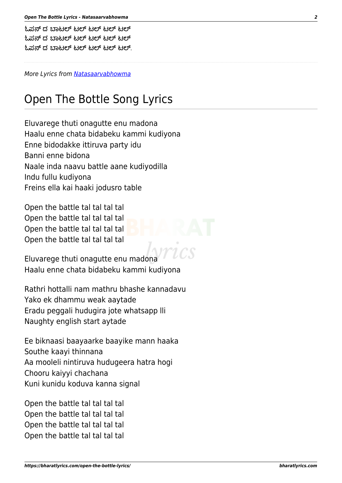```
ಓಪನ್ ದ ಬಾಟಲ್ ಟಲ್ ಟಲ್ ಟಲ್ ಟಲ್
ಓಪನ್ ದ ಬಾಟಲ್ ಟಲ್ ಟಲ್ ಟಲ್ ಟಲ್
ಓಪ್ಪನ್ ದ ಬಾಟಲ್ ಟಲ್ ಟಲ್ ಟಲ್ ಟಲ್.
```
More Lyrics from [Natasaarvabhowma](https://bharatlyrics.com/kannada/natasaarvabhowma/)

## Open The Bottle Song Lyrics

Eluvarege thuti onagutte enu madona Haalu enne chata bidabeku kammi kudiyona Enne bidodakke ittiruva party idu Banni enne bidona Naale inda naavu battle aane kudiyodilla Indu fullu kudiyona Freins ella kai haaki jodusro table

Open the battle tal tal tal tal Open the battle tal tal tal tal Open the battle tal tal tal tal Open the battle tal tal tal tal

Eluvarege thuti onagutte enu madona Haalu enne chata bidabeku kammi kudiyona

Rathri hottalli nam mathru bhashe kannadavu Yako ek dhammu weak aaytade Eradu peggali hudugira jote whatsapp lli Naughty english start aytade

Ee biknaasi baayaarke baayike mann haaka Southe kaayi thinnana Aa mooleli nintiruva hudugeera hatra hogi Chooru kaiyyi chachana Kuni kunidu koduva kanna signal

Open the battle tal tal tal tal Open the battle tal tal tal tal Open the battle tal tal tal tal Open the battle tal tal tal tal